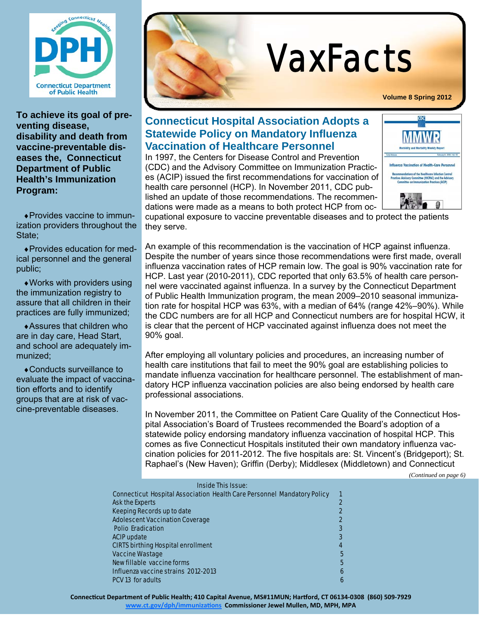

**To achieve its goal of preventing disease, disability and death from vaccine-preventable diseases the, Connecticut Department of Public Health's Immunization Program:** 

Provides vaccine to immunization providers throughout the State;

Provides education for medical personnel and the general public;

Works with providers using the immunization registry to assure that all children in their practices are fully immunized;

Assures that children who are in day care, Head Start, and school are adequately immunized;

Conducts surveillance to evaluate the impact of vaccination efforts and to identify groups that are at risk of vaccine-preventable diseases.



# VaxFacts

**Volume 8 Spring 2012**

#### **Connecticut Hospital Association Adopts a Statewide Policy on Mandatory Influenza Vaccination of Healthcare Personnel**

In 1997, the Centers for Disease Control and Prevention (CDC) and the Advisory Committee on Immunization Practices (ACIP) issued the first recommendations for vaccination of health care personnel (HCP). In November 2011, CDC published an update of those recommendations. The recommendations were made as a means to both protect HCP from oc-



cupational exposure to vaccine preventable diseases and to protect the patients they serve.

An example of this recommendation is the vaccination of HCP against influenza. Despite the number of years since those recommendations were first made, overall influenza vaccination rates of HCP remain low. The goal is 90% vaccination rate for HCP. Last year (2010-2011), CDC reported that only 63.5% of health care personnel were vaccinated against influenza. In a survey by the Connecticut Department of Public Health Immunization program, the mean 2009–2010 seasonal immunization rate for hospital HCP was 63%, with a median of 64% (range 42%–90%). While the CDC numbers are for all HCP and Connecticut numbers are for hospital HCW, it is clear that the percent of HCP vaccinated against influenza does not meet the 90% goal.

After employing all voluntary policies and procedures, an increasing number of health care institutions that fail to meet the 90% goal are establishing policies to mandate influenza vaccination for healthcare personnel. The establishment of mandatory HCP influenza vaccination policies are also being endorsed by health care professional associations.

In November 2011, the Committee on Patient Care Quality of the Connecticut Hospital Association's Board of Trustees recommended the Board's adoption of a statewide policy endorsing mandatory influenza vaccination of hospital HCP. This comes as five Connecticut Hospitals instituted their own mandatory influenza vaccination policies for 2011-2012. The five hospitals are: St. Vincent's (Bridgeport); St. Raphael's (New Haven); Griffin (Derby); Middlesex (Middletown) and Connecticut

*(Continued on page 6)* 

|                                           | <b>Inside This Issue:</b>                                                      |  |  |  |  |
|-------------------------------------------|--------------------------------------------------------------------------------|--|--|--|--|
|                                           | <b>Connecticut Hospital Association Health Care Personnel Mandatory Policy</b> |  |  |  |  |
| <b>Ask the Experts</b>                    |                                                                                |  |  |  |  |
| <b>Keeping Records up to date</b>         |                                                                                |  |  |  |  |
| <b>Adolescent Vaccination Coverage</b>    |                                                                                |  |  |  |  |
| <b>Polio Eradication</b>                  |                                                                                |  |  |  |  |
| <b>ACIP update</b>                        |                                                                                |  |  |  |  |
| <b>CIRTS birthing Hospital enrollment</b> | 4                                                                              |  |  |  |  |
| <b>Vaccine Wastage</b>                    |                                                                                |  |  |  |  |
| New fillable vaccine forms                |                                                                                |  |  |  |  |
| Influenza vaccine strains 2012-2013       | 6                                                                              |  |  |  |  |
| <b>PCV 13 for adults</b>                  |                                                                                |  |  |  |  |

Connecticut Department of Public Health; 410 Capital Avenue, MS#11MUN; Hartford, CT 06134-0308 (860) 509-7929

**www.ct.gov/dph/immunizaƟons Commissioner Jewel Mullen, MD, MPH, MPA**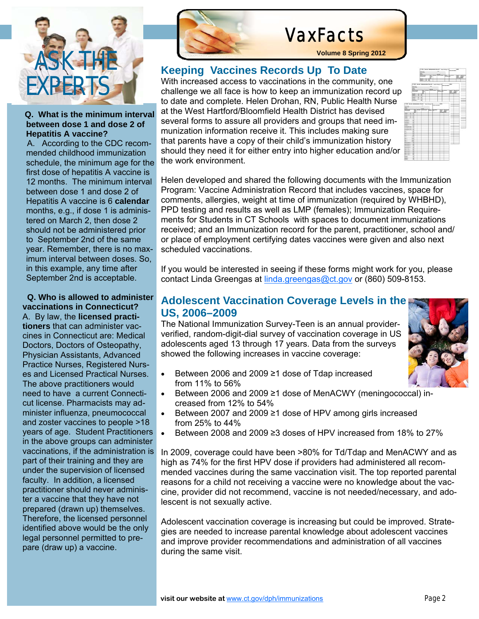

#### **Q. What is the minimum interval between dose 1 and dose 2 of Hepatitis A vaccine?**

 A. According to the CDC recommended childhood immunization schedule, the minimum age for the first dose of hepatitis A vaccine is 12 months. The minimum interval between dose 1 and dose 2 of Hepatitis A vaccine is 6 **calendar** months, e.g., if dose 1 is administered on March 2, then dose 2 should not be administered prior to September 2nd of the same year. Remember, there is no maximum interval between doses. So, in this example, any time after September 2nd is acceptable.

 **Q. Who is allowed to administer vaccinations in Connecticut?**  A. By law, the **licensed practitioners** that can administer vaccines in Connecticut are: Medical Doctors, Doctors of Osteopathy, Physician Assistants, Advanced Practice Nurses, Registered Nurses and Licensed Practical Nurses. The above practitioners would need to have a current Connecticut license. Pharmacists may administer influenza, pneumococcal and zoster vaccines to people >18 years of age. Student Practitioners in the above groups can administer vaccinations, if the administration is part of their training and they are under the supervision of licensed faculty. In addition, a licensed practitioner should never administer a vaccine that they have not prepared (drawn up) themselves. Therefore, the licensed personnel identified above would be the only legal personnel permitted to prepare (draw up) a vaccine.



# VaxFacts

**Volume 8 Spring 2012**

## **Keeping Vaccines Records Up To Date**

With increased access to vaccinations in the community, one challenge we all face is how to keep an immunization record up to date and complete. Helen Drohan, RN, Public Health Nurse at the West Hartford/Bloomfield Health District has devised several forms to assure all providers and groups that need immunization information receive it. This includes making sure that parents have a copy of their child's immunization history should they need it for either entry into higher education and/or the work environment.

Helen developed and shared the following documents with the Immunization Program: Vaccine Administration Record that includes vaccines, space for comments, allergies, weight at time of immunization (required by WHBHD), PPD testing and results as well as LMP (females); Immunization Requirements for Students in CT Schools with spaces to document immunizations received; and an Immunization record for the parent, practitioner, school and/ or place of employment certifying dates vaccines were given and also next scheduled vaccinations.

If you would be interested in seeing if these forms might work for you, please contact Linda Greengas at *linda.greengas@ct.gov* or (860) 509-8153.

# **Adolescent Vaccination Coverage Levels in the US, 2006–2009**<br>The National Immunization Survey-Teen is an annual provider-

verified, random-digit-dial survey of vaccination coverage in US adolescents aged 13 through 17 years. Data from the surveys showed the following increases in vaccine coverage:



- Between 2006 and 2009 ≥1 dose of Tdap increased from 11% to 56%
- Between 2006 and 2009 ≥1 dose of MenACWY (meningococcal) increased from 12% to 54%
- Between 2007 and 2009 ≥1 dose of HPV among girls increased from 25% to 44%
- Between 2008 and 2009 ≥3 doses of HPV increased from 18% to 27%

In 2009, coverage could have been >80% for Td/Tdap and MenACWY and as high as 74% for the first HPV dose if providers had administered all recommended vaccines during the same vaccination visit. The top reported parental reasons for a child not receiving a vaccine were no knowledge about the vaccine, provider did not recommend, vaccine is not needed/necessary, and adolescent is not sexually active.

Adolescent vaccination coverage is increasing but could be improved. Strategies are needed to increase parental knowledge about adolescent vaccines and improve provider recommendations and administration of all vaccines during the same visit.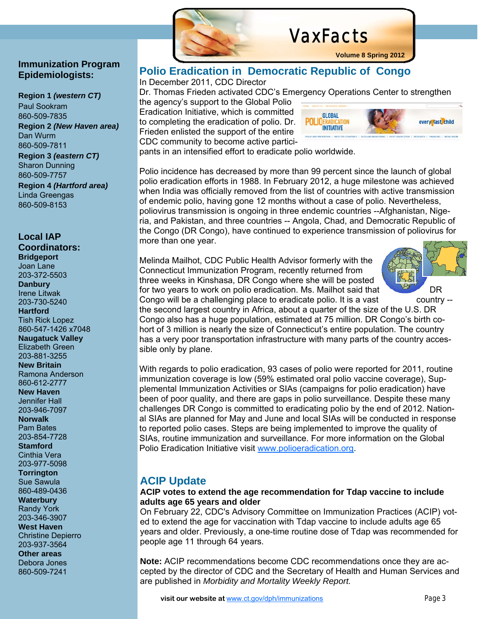# VaxFacts

#### **Immunization Program Epidemiologists:**

**Region 1** *(western CT)*  Paul Sookram 860-509-7835 **Region 2** *(New Haven area)*  Dan Wurm 860-509-7811

**Region 3** *(eastern CT)* Sharon Dunning 860-509-7757 **Region 4** *(Hartford area)* Linda Greengas 860-509-8153

#### **Local IAP**

**Coordinators: Bridgeport**  Joan Lane 203-372-5503 **Danbury** 

Irene Litwak 203-730-5240 **Hartford**  Tish Rick Lopez

860-547-1426 x7048 **Naugatuck Valley**  Elizabeth Green

203-881-3255 **New Britain**  Ramona Anderson

860-612-2777 **New Haven**  Jennifer Hall

203-946-7097 **Norwalk** 

Pam Bates 203-854-7728

**Stamford**  Cinthia Vera

203-977-5098 **Torrington**  Sue Sawula

860-489-0436 **Waterbury**  Randy York

203-346-3907 **West Haven**  Christine Depierro

203-937-3564 **Other areas** 

Debora Jones 860-509-7241



**Volume 8 Spring 2012**



pants in an intensified effort to eradicate polio worldwide.

to completing the eradication of polio. Dr. Frieden enlisted the support of the entire CDC community to become active partici-

**Polio Eradication in Democratic Republic of Congo** 

Polio incidence has decreased by more than 99 percent since the launch of global polio eradication efforts in 1988. In February 2012, a huge milestone was achieved when India was officially removed from the list of countries with active transmission of endemic polio, having gone 12 months without a case of polio. Nevertheless, poliovirus transmission is ongoing in three endemic countries --Afghanistan, Nigeria, and Pakistan, and three countries -- Angola, Chad, and Democratic Republic of the Congo (DR Congo), have continued to experience transmission of poliovirus for more than one year.

Melinda Mailhot, CDC Public Health Advisor formerly with the Connecticut Immunization Program, recently returned from three weeks in Kinshasa, DR Congo where she will be posted for two years to work on polio eradication. Ms. Mailhot said that DR



Congo will be a challenging place to eradicate polio. It is a vast country - the second largest country in Africa, about a quarter of the size of the U.S. DR Congo also has a huge population, estimated at 75 million. DR Congo's birth cohort of 3 million is nearly the size of Connecticut's entire population. The country has a very poor transportation infrastructure with many parts of the country accessible only by plane.

With regards to polio eradication, 93 cases of polio were reported for 2011, routine immunization coverage is low (59% estimated oral polio vaccine coverage), Supplemental Immunization Activities or SIAs (campaigns for polio eradication) have been of poor quality, and there are gaps in polio surveillance. Despite these many challenges DR Congo is committed to eradicating polio by the end of 2012. National SIAs are planned for May and June and local SIAs will be conducted in response to reported polio cases. Steps are being implemented to improve the quality of SIAs, routine immunization and surveillance. For more information on the Global Polio Eradication Initiative visit www.polioeradication.org.

## **ACIP Update**

#### **ACIP votes to extend the age recommendation for Tdap vaccine to include adults age 65 years and older**

On February 22, CDC's Advisory Committee on Immunization Practices (ACIP) voted to extend the age for vaccination with Tdap vaccine to include adults age 65 years and older. Previously, a one-time routine dose of Tdap was recommended for people age 11 through 64 years.

**Note:** ACIP recommendations become CDC recommendations once they are accepted by the director of CDC and the Secretary of Health and Human Services and are published in *Morbidity and Mortality Weekly Report.*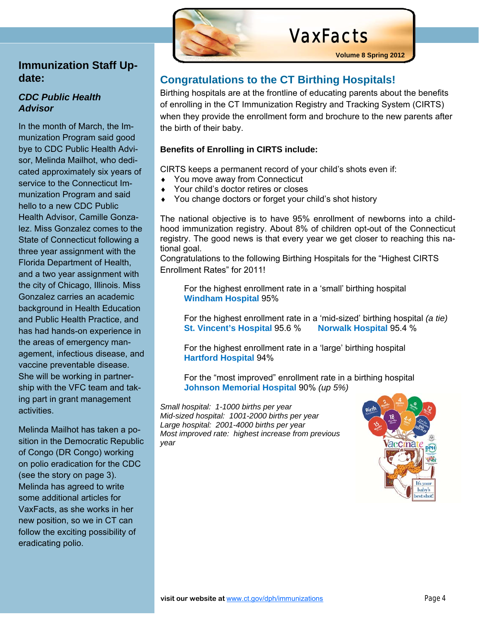

## **Immunization Staff Update:**

#### *CDC Public Health Advisor*

In the month of March, the Immunization Program said good bye to CDC Public Health Advisor, Melinda Mailhot, who dedicated approximately six years of service to the Connecticut Immunization Program and said hello to a new CDC Public Health Advisor, Camille Gonzalez. Miss Gonzalez comes to the State of Connecticut following a three year assignment with the Florida Department of Health, and a two year assignment with the city of Chicago, Illinois. Miss Gonzalez carries an academic background in Health Education and Public Health Practice, and has had hands-on experience in the areas of emergency management, infectious disease, and vaccine preventable disease. She will be working in partnership with the VFC team and taking part in grant management activities.

Melinda Mailhot has taken a position in the Democratic Republic of Congo (DR Congo) working on polio eradication for the CDC (see the story on page 3). Melinda has agreed to write some additional articles for VaxFacts, as she works in her new position, so we in CT can follow the exciting possibility of eradicating polio.

## **Congratulations to the CT Birthing Hospitals!**

Birthing hospitals are at the frontline of educating parents about the benefits of enrolling in the CT Immunization Registry and Tracking System (CIRTS) when they provide the enrollment form and brochure to the new parents after the birth of their baby.

#### **Benefits of Enrolling in CIRTS include:**

CIRTS keeps a permanent record of your child's shots even if:

- ◆ You move away from Connecticut
- Your child's doctor retires or closes
- ◆ You change doctors or forget your child's shot history

The national objective is to have 95% enrollment of newborns into a childhood immunization registry. About 8% of children opt-out of the Connecticut registry. The good news is that every year we get closer to reaching this national goal.

Congratulations to the following Birthing Hospitals for the "Highest CIRTS Enrollment Rates" for 2011!

For the highest enrollment rate in a 'small' birthing hospital **Windham Hospital** 95%

For the highest enrollment rate in a 'mid-sized' birthing hospital *(a tie)*  **St. Vincent's Hospital** 95.6 % **Norwalk Hospital** 95.4 %

For the highest enrollment rate in a 'large' birthing hospital **Hartford Hospital** 94%

For the "most improved" enrollment rate in a birthing hospital **Johnson Memorial Hospital** 90% *(up 5%)*

*Small hospital: 1-1000 births per year Mid-sized hospital: 1001-2000 births per year Large hospital: 2001-4000 births per year Most improved rate: highest increase from previous year* 

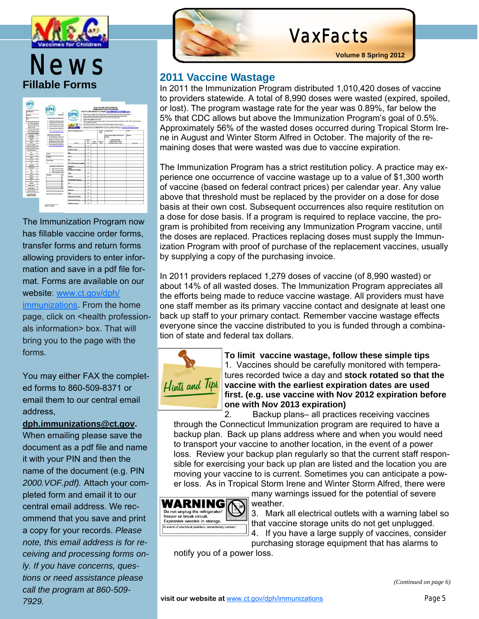

# **News** 2011 Vaccine Wastage **Fillable Forms**

| <b>Tariffic Resear</b><br>File exciting line is<br>To care a mother of<br><b>Hart Assuring Forma</b><br><b>Miles St North Inc.</b><br><b>Manager &amp; Allen</b><br>So present extent on the | t.<br><b>Back Book</b><br><b>Installating Provider Institut</b><br>5. Both the first formulant<br>2. December the transfer face.<br>2. Estas and chair estruction<br>4. Both provided countries but<br>5. Requirement quark to provider set | <b>STATE SHOTING UNDER FURNITURES</b><br>IMMUNIZATION PROGRAM<br>FAX TO: 860-389-8371 or week first months? ATCHFABIT and<br>Report than are an including than for the transitions of the tractat. Latin as been ask coming as presented<br>the case to fill in the loss before with any deter your precisive will be should this month.<br>Reports must be putertings monthly such 1 year and your problems mainted<br><b>Rowright State couplied control with</b><br>٠<br><b>START TOO</b><br>Report in entries float last than the countries would be two than topics of mentals. We in which there then<br>the computer is reserved<br>Salving your water to a household \$122 month capity of vacces transies<br>The net subset above administrated data comp to the first marks assume all manings or which manipure.<br>Sentent From Ltd. (40) 995 POR To develop address 1971 print apparaintable |                |                   |                     |                                                              |                |
|----------------------------------------------------------------------------------------------------------------------------------------------------------------------------------------------|---------------------------------------------------------------------------------------------------------------------------------------------------------------------------------------------------------------------------------------------|-----------------------------------------------------------------------------------------------------------------------------------------------------------------------------------------------------------------------------------------------------------------------------------------------------------------------------------------------------------------------------------------------------------------------------------------------------------------------------------------------------------------------------------------------------------------------------------------------------------------------------------------------------------------------------------------------------------------------------------------------------------------------------------------------------------------------------------------------------------------------------------------------------------|----------------|-------------------|---------------------|--------------------------------------------------------------|----------------|
| <b>Tax McAnner with:</b><br><b>But the period party</b>                                                                                                                                      | No control to a state of the<br><b>PERSONAL PROPERTY</b>                                                                                                                                                                                    | <b>Rent and Strang Toking</b>                                                                                                                                                                                                                                                                                                                                                                                                                                                                                                                                                                                                                                                                                                                                                                                                                                                                             |                |                   | <b>Ball of</b><br>- | The American                                                 | <b>Will</b>    |
| # ps of a negot<br><b>Service</b><br>D<br><b>THE FAILURE AT</b><br>John L.                                                                                                                   | <b>Lista chain betractions</b><br>1. The self-personal continues law<br>additional products for each at-                                                                                                                                    |                                                                                                                                                                                                                                                                                                                                                                                                                                                                                                                                                                                                                                                                                                                                                                                                                                                                                                           |                |                   |                     | <b>Basic Practice Will by Though by the</b><br>$\cdots$      | <b>House</b> 4 |
| $\sim$                                                                                                                                                                                       | Most out-series art har-<br>×<br><b>Milanopolis President and</b>                                                                                                                                                                           |                                                                                                                                                                                                                                                                                                                                                                                                                                                                                                                                                                                                                                                                                                                                                                                                                                                                                                           | ÷              |                   | <b>Brown on</b>     | <b>Excessive Transit</b><br><b>British product of degree</b> |                |
| <b>Carried Bay</b>                                                                                                                                                                           | the case down countries contains<br>٠<br>6. The transport of controls can                                                                                                                                                                   | <b>Section</b>                                                                                                                                                                                                                                                                                                                                                                                                                                                                                                                                                                                                                                                                                                                                                                                                                                                                                            | -              | <b>Stationary</b> | $-$                 | Publishers instrument detect                                 |                |
| <b>The Structure and Content</b><br>the life of countries.                                                                                                                                   | <b>SIZE &amp; ACTIVITY IN THE CAR</b>                                                                                                                                                                                                       | me.                                                                                                                                                                                                                                                                                                                                                                                                                                                                                                                                                                                                                                                                                                                                                                                                                                                                                                       | ٠              |                   |                     |                                                              |                |
| <b>International Con-</b>                                                                                                                                                                    |                                                                                                                                                                                                                                             | <b><i>Hydrey areas</i></b>                                                                                                                                                                                                                                                                                                                                                                                                                                                                                                                                                                                                                                                                                                                                                                                                                                                                                | ٠              |                   |                     |                                                              |                |
|                                                                                                                                                                                              | $\overline{\phantom{a}}$                                                                                                                                                                                                                    |                                                                                                                                                                                                                                                                                                                                                                                                                                                                                                                                                                                                                                                                                                                                                                                                                                                                                                           | ×.             |                   |                     |                                                              |                |
| $\overline{ }$                                                                                                                                                                               | __                                                                                                                                                                                                                                          | -                                                                                                                                                                                                                                                                                                                                                                                                                                                                                                                                                                                                                                                                                                                                                                                                                                                                                                         | ۰              |                   |                     |                                                              |                |
| <b>Ind</b>                                                                                                                                                                                   | <b>Bally</b>                                                                                                                                                                                                                                |                                                                                                                                                                                                                                                                                                                                                                                                                                                                                                                                                                                                                                                                                                                                                                                                                                                                                                           | ×              |                   |                     |                                                              |                |
| 444.64<br>$\sim$                                                                                                                                                                             | Try & Dunk                                                                                                                                                                                                                                  |                                                                                                                                                                                                                                                                                                                                                                                                                                                                                                                                                                                                                                                                                                                                                                                                                                                                                                           | ٠              |                   |                     |                                                              |                |
| <b><i><u>Secondar</u></i></b>                                                                                                                                                                |                                                                                                                                                                                                                                             | <b>WY 312 Incomment integrits</b>                                                                                                                                                                                                                                                                                                                                                                                                                                                                                                                                                                                                                                                                                                                                                                                                                                                                         |                |                   |                     |                                                              |                |
| <b>STATE</b><br><b>PRODUCT</b>                                                                                                                                                               | <b>Booking Transferred to</b>                                                                                                                                                                                                               | <b>Page 14</b><br>$rac{1}{2}$                                                                                                                                                                                                                                                                                                                                                                                                                                                                                                                                                                                                                                                                                                                                                                                                                                                                             | $\blacksquare$ |                   |                     |                                                              |                |
| $\rightarrow$                                                                                                                                                                                | <b>Saint-British of country</b><br><b>San and date manager</b><br>٠                                                                                                                                                                         | <b>Bungalow Integrity</b>                                                                                                                                                                                                                                                                                                                                                                                                                                                                                                                                                                                                                                                                                                                                                                                                                                                                                 | ٠              |                   |                     |                                                              |                |
| $\sim$                                                                                                                                                                                       | ٠<br><b>Bank capital model</b>                                                                                                                                                                                                              | $384 -$                                                                                                                                                                                                                                                                                                                                                                                                                                                                                                                                                                                                                                                                                                                                                                                                                                                                                                   | ×              |                   |                     |                                                              |                |
| ma a<br>w                                                                                                                                                                                    | 'n<br><b>Section</b>                                                                                                                                                                                                                        | <b>Scientist</b>                                                                                                                                                                                                                                                                                                                                                                                                                                                                                                                                                                                                                                                                                                                                                                                                                                                                                          | ٠              |                   |                     |                                                              |                |
| <b>AND</b><br>$\sim$                                                                                                                                                                         |                                                                                                                                                                                                                                             | <b>Publicity Project</b>                                                                                                                                                                                                                                                                                                                                                                                                                                                                                                                                                                                                                                                                                                                                                                                                                                                                                  | ٠              |                   |                     |                                                              |                |
| <b>Support</b>                                                                                                                                                                               | ۰                                                                                                                                                                                                                                           | ×                                                                                                                                                                                                                                                                                                                                                                                                                                                                                                                                                                                                                                                                                                                                                                                                                                                                                                         | ٠              |                   |                     |                                                              |                |
| <b>Mark House</b> Av                                                                                                                                                                         | u                                                                                                                                                                                                                                           | *at.                                                                                                                                                                                                                                                                                                                                                                                                                                                                                                                                                                                                                                                                                                                                                                                                                                                                                                      | ٠              |                   |                     |                                                              |                |
| <b>ABE WALK</b>                                                                                                                                                                              |                                                                                                                                                                                                                                             |                                                                                                                                                                                                                                                                                                                                                                                                                                                                                                                                                                                                                                                                                                                                                                                                                                                                                                           | ×.             |                   |                     |                                                              |                |
| and me should                                                                                                                                                                                | <b>Spraces of Transferring Provider</b>                                                                                                                                                                                                     | <b><i><u>based</u></i></b>                                                                                                                                                                                                                                                                                                                                                                                                                                                                                                                                                                                                                                                                                                                                                                                                                                                                                |                |                   |                     |                                                              |                |
| <b>British Security And Color</b>                                                                                                                                                            | <b>Ingressed of Beating Freezer</b>                                                                                                                                                                                                         | ÷                                                                                                                                                                                                                                                                                                                                                                                                                                                                                                                                                                                                                                                                                                                                                                                                                                                                                                         | ٠              |                   |                     |                                                              |                |
| <b><i><u>Subject Winners</u></i></b>                                                                                                                                                         |                                                                                                                                                                                                                                             | <b>Manual Educate</b>                                                                                                                                                                                                                                                                                                                                                                                                                                                                                                                                                                                                                                                                                                                                                                                                                                                                                     | ٠              |                   |                     |                                                              |                |
|                                                                                                                                                                                              |                                                                                                                                                                                                                                             | Mond 2 Ham                                                                                                                                                                                                                                                                                                                                                                                                                                                                                                                                                                                                                                                                                                                                                                                                                                                                                                | ×              |                   |                     |                                                              |                |
|                                                                                                                                                                                              |                                                                                                                                                                                                                                             | <b>Publicate (2) Ad growing</b>                                                                                                                                                                                                                                                                                                                                                                                                                                                                                                                                                                                                                                                                                                                                                                                                                                                                           | ×              |                   |                     |                                                              |                |

The Immunization Program now has fillable vaccine order forms, transfer forms and return forms allowing providers to enter information and save in a pdf file format. Forms are available on our website: www.ct.gov/dph/ immunizations. From the home page, click on <health professionals information> box. That will bring you to the page with the forms.

You may either FAX the completed forms to 860-509-8371 or email them to our central email address,

#### **dph.immunizations@ct.gov.**

When emailing please save the document as a pdf file and name it with your PIN and then the name of the document (e.g. PIN *2000.VOF.pdf).* Attach your completed form and email it to our central email address. We recommend that you save and print a copy for your records. *Please note, this email address is for receiving and processing forms only. If you have concerns, questions or need assistance please call the program at 860-509- 7929.* 



# VaxFacts

#### **2011 Vaccine Wastage**

In 2011 the Immunization Program distributed 1,010,420 doses of vaccine to providers statewide. A total of 8,990 doses were wasted (expired, spoiled, or lost). The program wastage rate for the year was 0.89%, far below the 5% that CDC allows but above the Immunization Program's goal of 0.5%. Approximately 56% of the wasted doses occurred during Tropical Storm Irene in August and Winter Storm Alfred in October. The majority of the remaining doses that were wasted was due to vaccine expiration.

The Immunization Program has a strict restitution policy. A practice may experience one occurrence of vaccine wastage up to a value of \$1,300 worth of vaccine (based on federal contract prices) per calendar year. Any value above that threshold must be replaced by the provider on a dose for dose basis at their own cost. Subsequent occurrences also require restitution on a dose for dose basis. If a program is required to replace vaccine, the program is prohibited from receiving any Immunization Program vaccine, until the doses are replaced. Practices replacing doses must supply the Immunization Program with proof of purchase of the replacement vaccines, usually by supplying a copy of the purchasing invoice.

In 2011 providers replaced 1,279 doses of vaccine (of 8,990 wasted) or about 14% of all wasted doses. The Immunization Program appreciates all the efforts being made to reduce vaccine wastage. All providers must have one staff member as its primary vaccine contact and designate at least one back up staff to your primary contact. Remember vaccine wastage effects everyone since the vaccine distributed to you is funded through a combination of state and federal tax dollars.



**To limit vaccine wastage, follow these simple tips**  1. Vaccines should be carefully monitored with temperatures recorded twice a day and **stock rotated so that the vaccine with the earliest expiration dates are used first. (e.g. use vaccine with Nov 2012 expiration before one with Nov 2013 expiration)** 

2. Backup plans– all practices receiving vaccines through the Connecticut Immunization program are required to have a backup plan. Back up plans address where and when you would need to transport your vaccine to another location, in the event of a power loss. Review your backup plan regularly so that the current staff responsible for exercising your back up plan are listed and the location you are moving your vaccine to is current. Sometimes you can anticipate a power loss. As in Tropical Storm Irene and Winter Storm Alfred, there were



many warnings issued for the potential of severe weather.

3. Mark all electrical outlets with a warning label so that vaccine storage units do not get unplugged.

4. If you have a large supply of vaccines, consider purchasing storage equipment that has alarms to

notify you of a power loss.